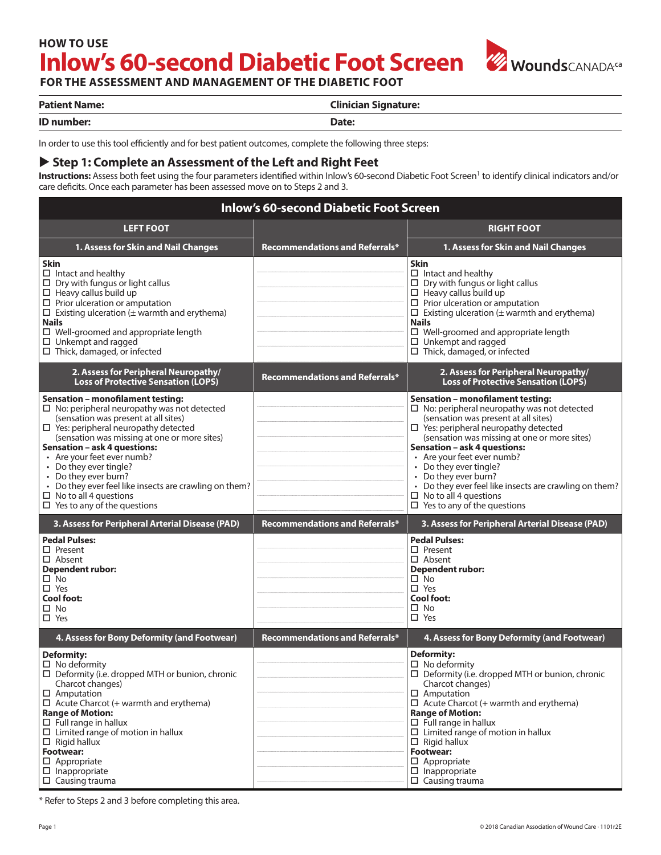# **Inlow's 60-second Diabetic Foot Screen** W WoundsCANADA<sup>ca</sup> **HOW TO USE**



**FOR THE ASSESSMENT AND MANAGEMENT OF THE DIABETIC FOOT**

| <b>Patient Name:</b> | <b>Clinician Signature:</b> |
|----------------------|-----------------------------|
| ID number:           | Date:                       |

In order to use this tool efficiently and for best patient outcomes, complete the following three steps:

#### ▶ Step 1: Complete an Assessment of the Left and Right Feet

Instructions: Assess both feet using the four parameters identified within Inlow's 60-second Diabetic Foot Screen<sup>1</sup> to identify clinical indicators and/or care defcits. Once each parameter has been assessed move on to Steps 2 and 3.

#### **Inlow's 60-second Diabetic Foot Screen LEFT FOOT Recommendations and Referrals\* RIGHT FOOT 1. Assess for Skin and Nail Changes 1. Assess for Skin and Nail Changes Skin**  $\square$  Intact and healthy  $\square$  Dry with fungus or light callus  $\Box$  Heavy callus build up  $\square$  Prior ulceration or amputation  $\square$  Existing ulceration ( $\pm$  warmth and erythema) **Nails** □ Well-groomed and appropriate length  $\square$  Unkempt and ragged □ Thick, damaged, or infected **Skin**  $\Box$  Intact and healthy  $\square$  Dry with fungus or light callus  $\Box$  Heavy callus build up  $\square$  Prior ulceration or amputation  $\square$  Existing ulceration ( $\pm$  warmth and erythema) **Nails** □ Well-groomed and appropriate length  $\square$  Unkempt and ragged Thick, damaged, or infected **2. Assess for Peripheral Neuropathy/ Loss of Protective Sensation (LOPS) Recommendations and Referrals\* 2. Assess for Peripheral Neuropathy/ Loss of Protective Sensation (LOPS) Sensation – monoflament testing:**  $\square$  No: peripheral neuropathy was not detected (sensation was present at all sites)  $\square$  Yes: peripheral neuropathy detected (sensation was missing at one or more sites) **Sensation – ask 4 questions:** • Are your feet ever numb? • Do they ever tingle? • Do they ever burn? • Do they ever feel like insects are crawling on them?  $\Box$  No to all 4 questions  $\Box$  Yes to any of the questions **Sensation – monoflament testing:**  $\square$  No: peripheral neuropathy was not detected (sensation was present at all sites)  $\Box$  Yes: peripheral neuropathy detected (sensation was missing at one or more sites) **Sensation – ask 4 questions:** • Are your feet ever numb? • Do they ever tingle? • Do they ever burn? • Do they ever feel like insects are crawling on them?  $\Box$  No to all 4 questions  $\Box$  Yes to any of the questions **3. Assess for Peripheral Arterial Disease (PAD) Recommendations and Referrals\* 3. Assess for Peripheral Arterial Disease (PAD) Pedal Pulses:** □ Present Absent **Dependent rubor:**  $\square$  No  $\Pi$  Yes **Cool foot:**  $\Box$  No □ Yes **Pedal Pulses:** □ Present Absent **Dependent rubor:**  $\square$  No  $\Pi$  Yes **Cool foot:**  $\Pi$  No □ Yes **4. Assess for Bony Deformity (and Footwear) Recommendations and Referrals\* 4. Assess for Bony Deformity (and Footwear) Deformity:**  $\square$  No deformity  $\square$  Deformity (i.e. dropped MTH or bunion, chronic Charcot changes) □ Amputation  $\Box$  Acute Charcot (+ warmth and erythema) **Range of Motion:**  $\square$  Full range in hallux  $\square$  Limited range of motion in hallux  $\Box$  Rigid hallux **Footwear:**  $\square$  Appropriate  $\square$  Inappropriate  $\square$  Causing trauma **Deformity:**  $\square$  No deformity  $\square$  Deformity (i.e. dropped MTH or bunion, chronic Charcot changes)  $\Pi$  Amputation  $\Box$  Acute Charcot (+ warmth and erythema) **Range of Motion:**  $\square$  Full range in hallux  $\square$  Limited range of motion in hallux  $\Box$  Rigid hallux **Footwear:**  $\square$  Appropriate  $\Box$  Inappropriate  $\square$  Causing trauma

\* Refer to Steps 2 and 3 before completing this area.